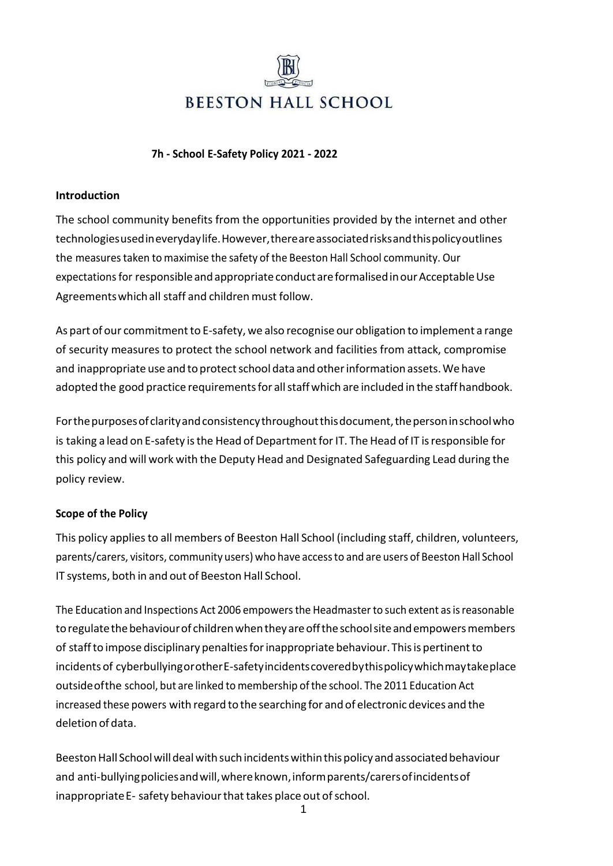

#### **7h - School E-Safety Policy 2021 - 2022**

#### **Introduction**

The school community benefits from the opportunities provided by the internet and other technologiesusedineverydaylife.However,thereareassociatedrisksandthispolicyoutlines the measurestaken to maximise the safety of the Beeston Hall School community. Our expectations for responsible and appropriate conductare formalised in our Acceptable Use Agreementswhichall staff and children must follow.

As part of our commitment to E-safety, we also recognise our obligation to implement a range of security measures to protect the school network and facilities from attack, compromise and inappropriate use and to protect school data and other information assets. We have adopted the good practice requirements for all staff which are included in the staff handbook.

For the purposes of clarity and consistency throughout this document, the person in school who is taking a lead on E-safety is the Head of Department for IT. The Head of IT is responsible for this policy and will work with the Deputy Head and Designated Safeguarding Lead during the policy review.

#### **Scope of the Policy**

This policy appliesto all members of Beeston Hall School (including staff, children, volunteers, parents/carers, visitors, community users) who have accessto and are users of Beeston Hall School IT systems, both in and out of Beeston Hall School.

The Education and Inspections Act 2006 empowers the Headmaster to such extent as is reasonable to regulate the behaviour of children when they are off the school site and empowers members of staffto impose disciplinary penaltiesforinappropriate behaviour. Thisis pertinentto incidents of cyberbullyingorotherE-safetyincidentscoveredbythispolicywhichmaytakeplace outsideofthe school, but are linked to membership ofthe school. The 2011 Education Act increased these powers with regard to the searching for and of electronic devices and the deletion of data.

Beeston Hall School will deal with such incidents within this policy and associated behaviour and anti-bullyingpoliciesandwill,whereknown,informparents/carersofincidentsof inappropriate E- safety behaviour that takes place out of school.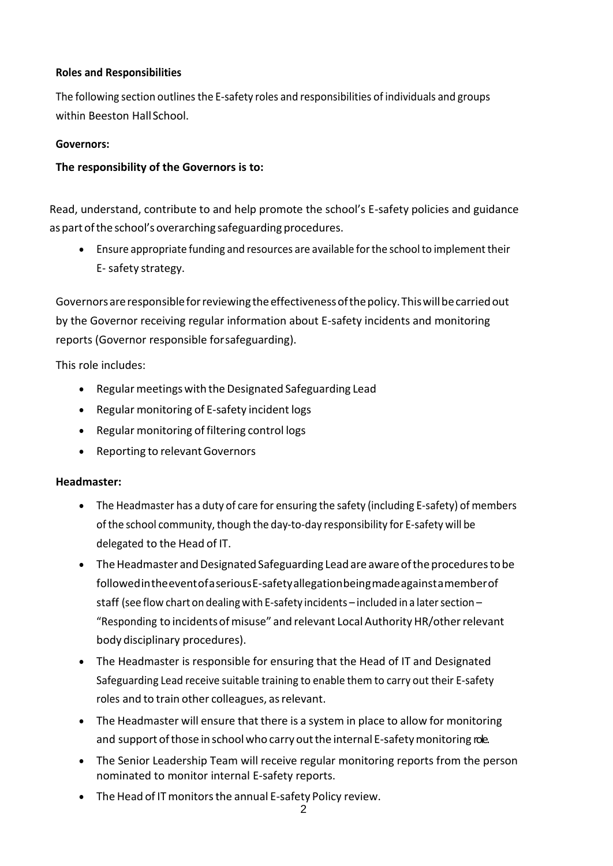#### **Roles and Responsibilities**

The following section outlines the E-safety roles and responsibilities of individuals and groups within Beeston HallSchool.

#### **Governors:**

#### **The responsibility of the Governors is to:**

Read, understand, contribute to and help promote the school's E-safety policies and guidance as part of the school's overarching safeguarding procedures.

• Ensure appropriate funding and resources are available for the school to implement their E- safety strategy.

Governors are responsible for reviewing the effectiveness of the policy. This will be carried out by the Governor receiving regular information about E-safety incidents and monitoring reports (Governor responsible forsafeguarding).

This role includes:

- Regular meetings with the Designated Safeguarding Lead
- Regular monitoring of E-safety incident logs
- Regular monitoring of filtering control logs
- Reporting to relevantGovernors

#### **Headmaster:**

- The Headmaster has a duty of care for ensuring the safety (including E-safety) of members ofthe school community, though the day-to-day responsibility for E-safety will be delegated to the Head of IT.
- The Headmaster and Designated Safeguarding Lead are aware of the procedures to be followedintheeventofaseriousE-safetyallegationbeingmadeagainstamemberof staff (see flow chart on dealing with E-safety incidents – included in a later section – "Responding to incidentsofmisuse" and relevant Local AuthorityHR/otherrelevant body disciplinary procedures).
- The Headmaster is responsible for ensuring that the Head of IT and Designated Safeguarding Lead receive suitable training to enable them to carry out their E-safety roles and to train other colleagues, asrelevant.
- The Headmaster will ensure that there is a system in place to allow for monitoring and support of those in school who carry out the internal E-safety monitoring role.
- The Senior Leadership Team will receive regular monitoring reports from the person nominated to monitor internal E-safety reports.
- The Head of IT monitors the annual E-safety Policy review.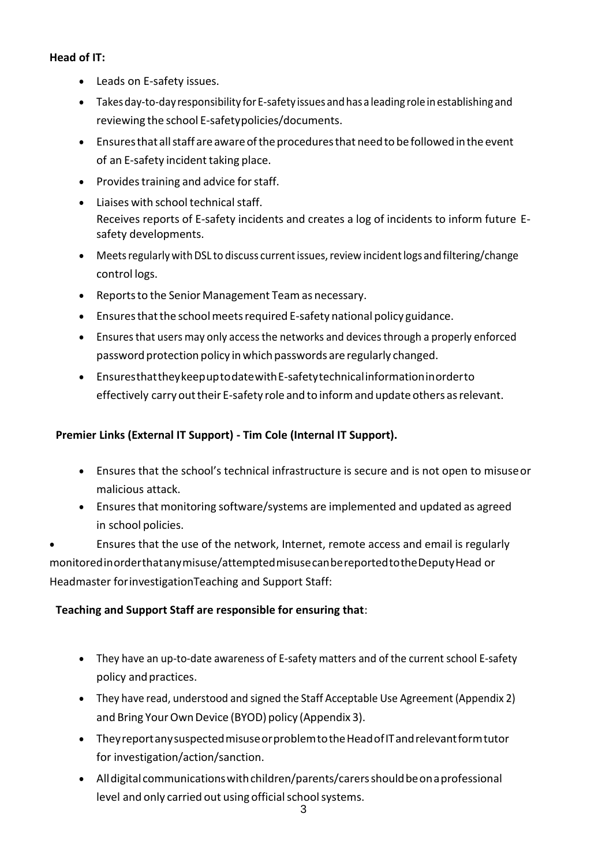# **Head of IT:**

- Leads on E-safety issues.
- Takes day-to-day responsibility for E-safety issues and has a leading role in establishing and reviewing the school E-safetypolicies/documents.
- Ensuresthat allstaff areawareoftheproceduresthat needto befollowed inthe event of an E-safety incident taking place.
- Provides training and advice for staff.
- Liaises with school technical staff. Receives reports of E-safety incidents and creates a log of incidents to inform future Esafety developments.
- Meets regularly with DSL to discuss current issues, review incident logs and filtering/change control logs.
- Reportsto the Senior Management Team as necessary.
- Ensures that the school meets required E-safety national policy guidance.
- Ensures that users may only access the networks and devices through a properly enforced password protection policy in which passwords are regularly changed.
- EnsuresthattheykeepuptodatewithE-safetytechnicalinformationinorderto effectively carry out their E-safety role and to inform and update others as relevant.

#### **Premier Links (External IT Support) - Tim Cole (Internal IT Support).**

- Ensures that the school's technical infrastructure is secure and is not open to misuseor malicious attack.
- Ensures that monitoring software/systems are implemented and updated as agreed in school policies.

• Ensures that the use of the network, Internet, remote access and email is regularly monitoredinorderthatanymisuse/attemptedmisusecanbereportedtotheDeputyHead or Headmaster forinvestigationTeaching and Support Staff:

#### **Teaching and Support Staff are responsible for ensuring that**:

- They have an up-to-date awareness of E-safety matters and of the current school E-safety policy and practices.
- They have read, understood and signed the Staff Acceptable Use Agreement (Appendix 2) and Bring Your Own Device (BYOD) policy (Appendix 3).
- TheyreportanysuspectedmisuseorproblemtotheHeadofITandrelevantformtutor for investigation/action/sanction.
- All digital communications with children/parents/carers should be on a professional level and only carried out using official school systems.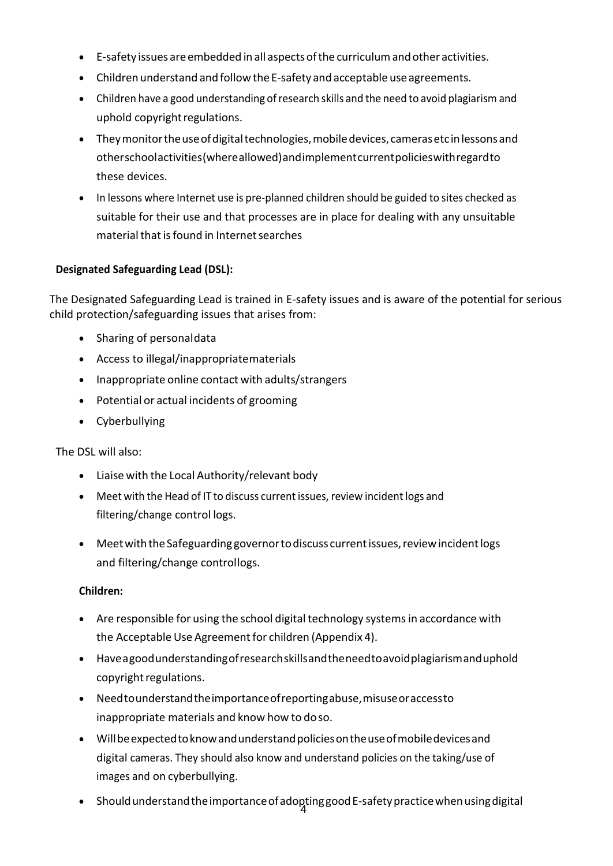- E-safety issues areembedded in all aspectsofthe curriculumandother activities.
- Children understand and follow the E-safety and acceptable use agreements.
- Children have a good understanding of research skills and the need to avoid plagiarism and uphold copyright regulations.
- They monitor the use of digital technologies, mobile devices, cameras etc in lessons and otherschoolactivities(whereallowed)andimplementcurrentpolicieswithregardto these devices.
- In lessons where Internet use is pre-planned children should be guided to sites checked as suitable for their use and that processes are in place for dealing with any unsuitable material that is found in Internet searches

#### **Designated Safeguarding Lead (DSL):**

The Designated Safeguarding Lead is trained in E-safety issues and is aware of the potential for serious child protection/safeguarding issues that arises from:

- Sharing of personaldata
- Access to illegal/inappropriatematerials
- Inappropriate online contact with adults/strangers
- Potential or actual incidents of grooming
- Cyberbullying

The DSL will also:

- Liaise with the Local Authority/relevant body
- Meet with the Head of IT to discuss current issues, review incident logs and filtering/change control logs.
- Meet with the Safeguarding governor to discuss current issues, review incident logs and filtering/change controllogs.

#### **Children:**

- Are responsible for using the school digital technology systems in accordance with the Acceptable Use Agreement for children (Appendix 4).
- Haveagoodunderstandingofresearchskillsandtheneedtoavoidplagiarismanduphold copyright regulations.
- Needtounderstandtheimportanceofreportingabuse,misuseoraccessto inappropriate materials and know how to doso.
- Willbeexpectedtoknowandunderstandpoliciesontheuseofmobiledevicesand digital cameras. They should also know and understand policies on the taking/use of images and on cyberbullying.
- 4 ShouldunderstandtheimportanceofadoptinggoodE-safetypracticewhenusingdigital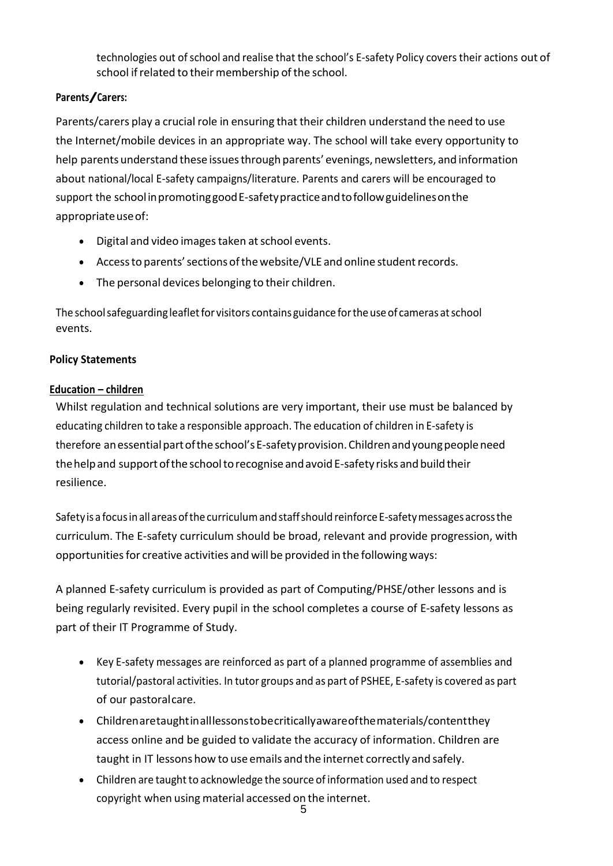technologies out of school and realise that the school's E-safety Policy covers their actions out of school if related to their membership of the school.

#### **Parents/Carers:**

Parents/carers play a crucial role in ensuring that their children understand the need to use the Internet/mobile devices in an appropriate way. The school will take every opportunity to help parents understand these issuesthrough parents' evenings, newsletters, and information about national/local E-safety campaigns/literature. Parents and carers will be encouraged to support the school in promoting good E-safety practice and to follow guidelines on the appropriateuseof:

- Digital and video images taken at school events.
- Access to parents' sections of the website/VLE and online student records.
- The personal devices belonging to their children.

The school safeguarding leaflet for visitors contains guidance for the use of cameras at school events.

# **Policy Statements**

# **Education – children**

Whilst regulation and technical solutions are very important, their use must be balanced by educating children to take a responsible approach. The education of children in E-safety is therefore an essential part of the school's E-safety provision. Children and young people need the help and support of the school to recognise and avoid E-safety risks and build their resilience.

Safetyisa focusinall areasofthecurriculumandstaffshould reinforce E-safetymessages acrossthe curriculum. The E-safety curriculum should be broad, relevant and provide progression, with opportunities for creative activities and will be provided in the following ways:

A planned E-safety curriculum is provided as part of Computing/PHSE/other lessons and is being regularly revisited. Every pupil in the school completes a course of E-safety lessons as part of their IT Programme of Study.

- Key E-safety messages are reinforced as part of a planned programme of assemblies and tutorial/pastoral activities. In tutor groups and as part of PSHEE, E-safety is covered as part of our pastoralcare.
- Childrenaretaughtinalllessonstobecriticallyawareofthematerials/contentthey access online and be guided to validate the accuracy of information. Children are taught in IT lessons how to use emails and the internet correctly and safely.
- Children are taught to acknowledge the source of information used and to respect copyright when using material accessed on the internet.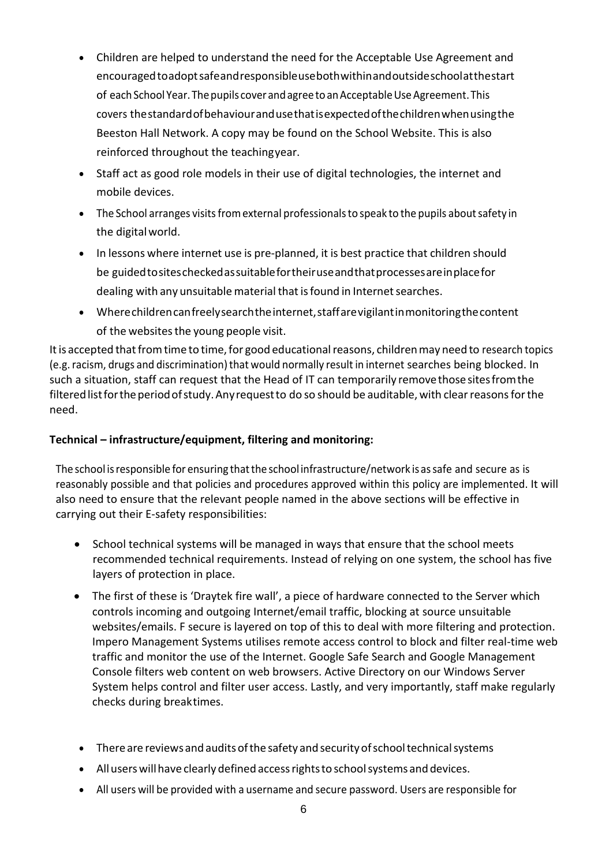- Children are helped to understand the need for the Acceptable Use Agreement and encouragedtoadoptsafeandresponsibleusebothwithinandoutsideschoolatthestart of each School Year. The pupils cover and agree to an Acceptable Use Agreement. This covers thestandardofbehaviourandusethatisexpectedofthechildrenwhenusingthe Beeston Hall Network. A copy may be found on the School Website. This is also reinforced throughout the teachingyear.
- Staff act as good role models in their use of digital technologies, the internet and mobile devices.
- $\bullet$  The School arranges visits from external professionals to speak to the pupils about safety in the digitalworld.
- In lessons where internet use is pre-planned, it is best practice that children should be guidedtositescheckedassuitablefortheiruseandthatprocessesareinplacefor dealing with any unsuitable material that is found in Internet searches.
- Wherechildrencanfreelysearchtheinternet,staffarevigilantinmonitoringthecontent of the websites the young people visit.

It is accepted that from time to time, for good educational reasons, children may need to research topics (e.g. racism, drugs and discrimination) that would normally result in internet searches being blocked. In such a situation, staff can request that the Head of IT can temporarily removethosesitesfromthe filtered list for the period of study. Any request to do so should be auditable, with clear reasons for the need.

# **Technical – infrastructure/equipment, filtering and monitoring:**

The school is responsible for ensuring that the school infrastructure/network is as safe and secure as is reasonably possible and that policies and procedures approved within this policy are implemented. It will also need to ensure that the relevant people named in the above sections will be effective in carrying out their E-safety responsibilities:

- School technical systems will be managed in ways that ensure that the school meets recommended technical requirements. Instead of relying on one system, the school has five layers of protection in place.
- The first of these is 'Draytek fire wall', a piece of hardware connected to the Server which controls incoming and outgoing Internet/email traffic, blocking at source unsuitable websites/emails. F secure is layered on top of this to deal with more filtering and protection. Impero Management Systems utilises remote access control to block and filter real-time web traffic and monitor the use of the Internet. Google Safe Search and Google Management Console filters web content on web browsers. Active Directory on our Windows Server System helps control and filter user access. Lastly, and very importantly, staff make regularly checks during breaktimes.
- There are reviews and audits of the safety and security of school technical systems
- All users will have clearly defined access rights to school systems and devices.
- All users will be provided with a username and secure password. Users are responsible for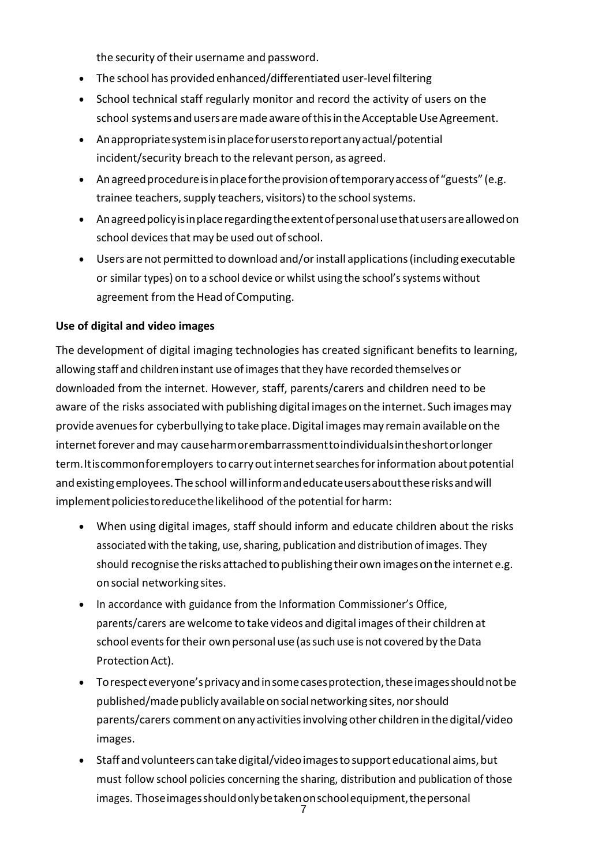the security of their username and password.

- The school has provided enhanced/differentiated user-level filtering
- School technical staff regularly monitor and record the activity of users on the school systems and users are made aware of this in the Acceptable Use Agreement.
- Anappropriatesystemisinplaceforuserstoreportanyactual/potential incident/security breach to the relevant person, as agreed.
- An agreed procedure is in place for the provision of temporary access of "guests" (e.g. trainee teachers, supply teachers, visitors) to the school systems.
- Anagreedpolicyisinplaceregardingtheextentofpersonalusethatusersareallowedon school devices that may be used out of school.
- Users are not permitted to download and/or install applications (including executable or similar types) on to a school device or whilst using the school's systems without agreement from the Head of Computing.

#### **Use of digital and video images**

The development of digital imaging technologies has created significant benefits to learning, allowing staff and children instant use of imagesthatthey have recorded themselves or downloaded from the internet. However, staff, parents/carers and children need to be aware of the risks associated with publishing digital images on the internet. Such images may provide avenuesfor cyberbullying to take place.Digital imagesmay remainavailableon the internet forever and may cause harmorembarrassment to individuals in the short or longer term.Itiscommonforemployers to carry out internet searches for information about potential and existing employees. The school will inform and educate users about these risks and will implement policies to reduce the likelihood of the potential for harm:

- When using digital images, staff should inform and educate children about the risks associated with the taking, use, sharing, publication and distribution of images. They should recognise the risks attached to publishing their own images on the internet e.g. on social networking sites.
- In accordance with guidance from the Information Commissioner's Office, parents/carers are welcome to take videos and digital images oftheir children at school events for their own personal use (as such use is not covered by the Data Protection Act).
- Torespect everyone's privacy and in some cases protection, these images should not be published/made publicly available on social networking sites, nor should parents/carers commenton anyactivitiesinvolvingother children inthe digital/video images.
- Staff and volunteers can take digital/video images to support educational aims, but must follow school policies concerning the sharing, distribution and publication of those images. Those images should only be taken on school equipment, the personal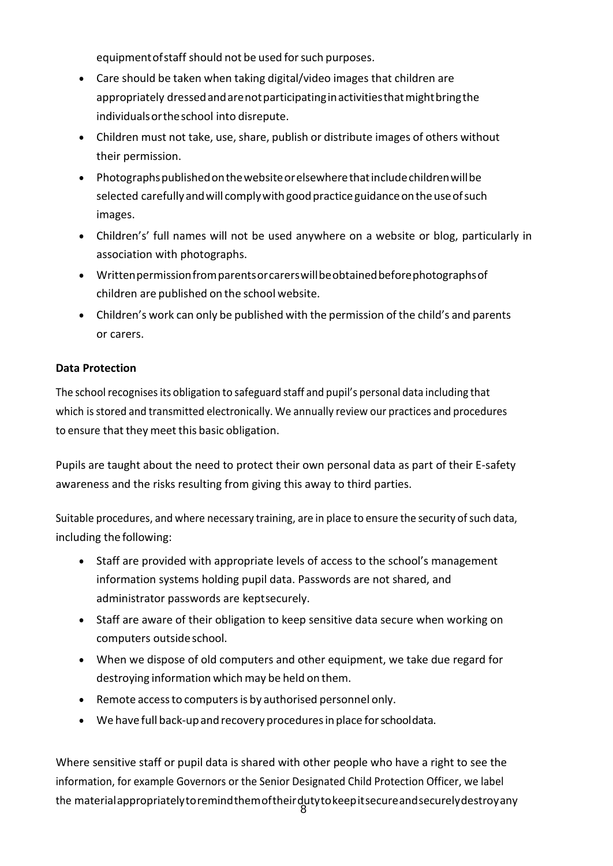equipment of staff should not be used for such purposes.

- Care should be taken when taking digital/video images that children are appropriately dressed and are not participating in activities that might bring the individualsortheschool into disrepute.
- Children must not take, use, share, publish or distribute images of others without their permission.
- Photographspublishedonthewebsiteorelsewherethatincludechildrenwillbe selected carefully and will comply with good practice guidance on the use of such images.
- Children's' full names will not be used anywhere on a website or blog, particularly in association with photographs.
- Writtenpermissionfromparentsorcarerswillbeobtainedbeforephotographsof children are published on the school website.
- Children's work can only be published with the permission of the child's and parents or carers.

# **Data Protection**

The school recognises its obligation to safeguard staff and pupil's personal data including that which is stored and transmitted electronically. We annually review our practices and procedures to ensure that they meet this basic obligation.

Pupils are taught about the need to protect their own personal data as part of their E-safety awareness and the risks resulting from giving this away to third parties.

Suitable procedures, and where necessary training, are in place to ensure the security of such data, including the following:

- Staff are provided with appropriate levels of access to the school's management information systems holding pupil data. Passwords are not shared, and administrator passwords are keptsecurely.
- Staff are aware of their obligation to keep sensitive data secure when working on computers outside school.
- When we dispose of old computers and other equipment, we take due regard for destroying information which may be held on them.
- Remote accessto computersis by authorised personnel only.
- We have full back-up and recovery procedures in place for schooldata.

the material appropriately to remind them of their duty to keep it secure and securely destroy any<br>8 Where sensitive staff or pupil data is shared with other people who have a right to see the information, for example Governors or the Senior Designated Child Protection Officer, we label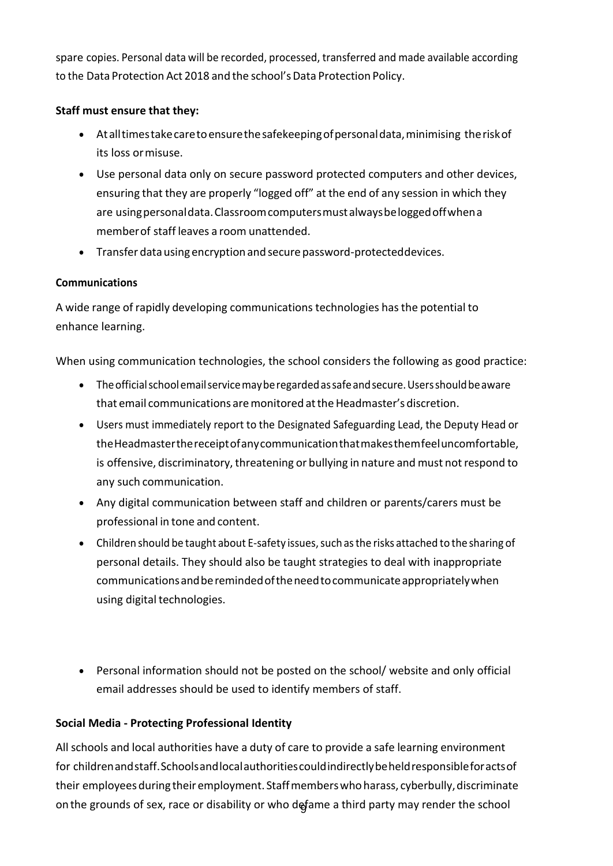spare copies. Personal data will be recorded, processed, transferred and made available according to the Data Protection Act 2018 and the school's Data Protection Policy.

#### **Staff must ensure that they:**

- Atalltimestakecaretoensurethesafekeepingofpersonaldata,minimising theriskof its loss ormisuse.
- Use personal data only on secure password protected computers and other devices, ensuring that they are properly "logged off" at the end of any session in which they are usingpersonaldata.Classroomcomputersmustalwaysbeloggedoffwhena memberof staff leaves a room unattended.
- Transfer data using encryption and secure password-protecteddevices.

# **Communications**

A wide range of rapidly developing communications technologies hasthe potential to enhance learning.

When using communication technologies, the school considers the following as good practice:

- The official school email service may be regarded as safe and secure. Users should be aware that email communications are monitored at the Headmaster's discretion.
- Users must immediately report to the Designated Safeguarding Lead, the Deputy Head or theHeadmasterthereceiptofanycommunicationthatmakesthemfeeluncomfortable, is offensive, discriminatory, threatening or bullying in nature and must not respond to any such communication.
- Any digital communication between staff and children or parents/carers must be professional in tone and content.
- Children should be taught about E-safety issues, such as the risks attached to the sharing of personal details. They should also be taught strategies to deal with inappropriate communicationsandberemindedoftheneedtocommunicateappropriatelywhen using digital technologies.
- Personal information should not be posted on the school/ website and only official email addresses should be used to identify members of staff.

# **Social Media - Protecting Professional Identity**

on the grounds of sex, race or disability or who defame a third party may render the school All schools and local authorities have a duty of care to provide a safe learning environment for childrenandstaff.Schoolsandlocalauthoritiescouldindirectlybeheldresponsibleforactsof their employees during their employment. Staff members who harass, cyberbully, discriminate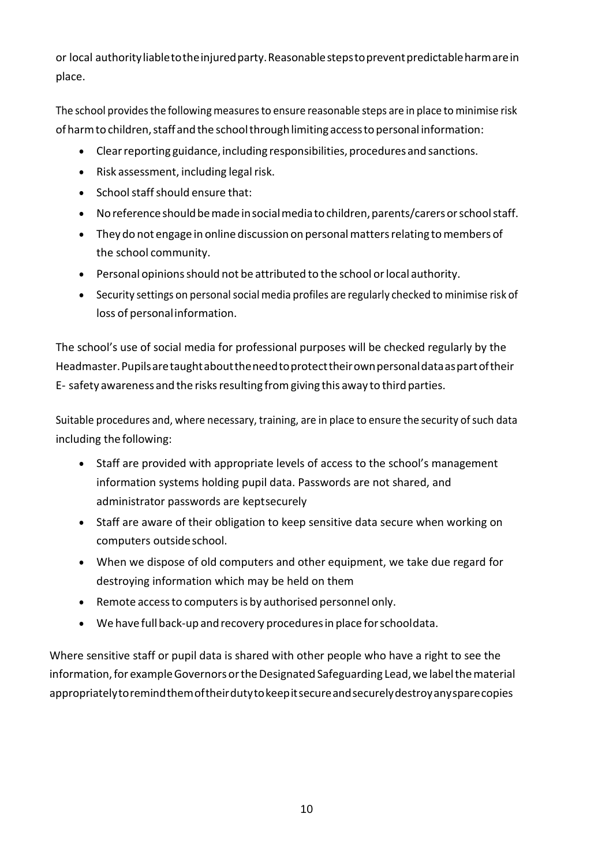or local authorityliabletotheinjuredparty.Reasonablestepstopreventpredictableharmarein place.

The school provides the following measures to ensure reasonable steps are in place to minimise risk of harm to children, staff and the school through limiting access to personal information:

- Clear reporting guidance, including responsibilities, procedures and sanctions.
- $\bullet$  Risk assessment, including legal risk.
- School staff should ensure that:
- No reference should be made in social mediato children, parents/carers or school staff.
- They do not engage in online discussion on personal matters relating to members of the school community.
- Personal opinions should not be attributed to the school or local authority.
- Security settings on personal social media profiles are regularly checked to minimise risk of loss of personalinformation.

The school's use of social media for professional purposes will be checked regularly by the Headmaster.Pupilsaretaughtabouttheneedtoprotecttheirownpersonaldataaspartoftheir E- safety awareness and the risksresulting fromgiving this away to third parties.

Suitable procedures and, where necessary, training, are in place to ensure the security of such data including the following:

- Staff are provided with appropriate levels of access to the school's management information systems holding pupil data. Passwords are not shared, and administrator passwords are keptsecurely
- Staff are aware of their obligation to keep sensitive data secure when working on computers outside school.
- When we dispose of old computers and other equipment, we take due regard for destroying information which may be held on them
- Remote accessto computersis by authorised personnel only.
- We have full back-up and recovery procedures in place for schooldata.

Where sensitive staff or pupil data is shared with other people who have a right to see the information, for example Governors or the Designated Safeguarding Lead, we label the material appropriatelytoremindthemoftheirdutytokeepitsecureandsecurelydestroyanysparecopies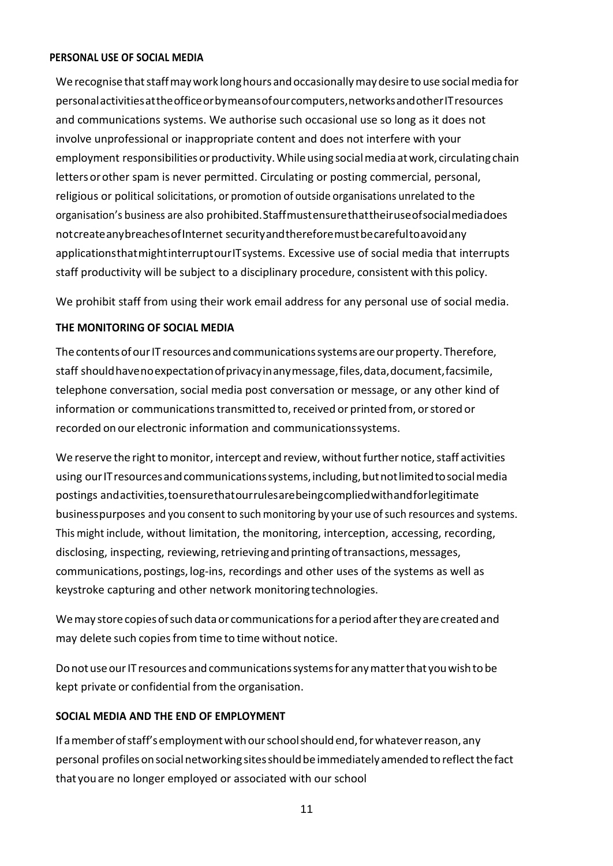#### **PERSONAL USE OF SOCIAL MEDIA**

We recognise that staff may work long hours and occasionally may desire to use social media for personalactivitiesattheofficeorbymeansofourcomputers,networksandotherITresources and communications systems. We authorise such occasional use so long as it does not involve unprofessional or inappropriate content and does not interfere with your employment responsibilities or productivity. While using social media at work, circulating chain letters orother spam is never permitted. Circulating or posting commercial, personal, religious or political solicitations, or promotion of outside organisations unrelated to the organisation's business are also prohibited.Staffmustensurethattheiruseofsocialmediadoes notcreateanybreachesofInternet securityandthereforemustbecarefultoavoidany applicationsthatmightinterruptourITsystems. Excessive use of social media that interrupts staff productivity will be subject to a disciplinary procedure, consistent with this policy.

We prohibit staff from using their work email address for any personal use of social media.

#### **THE MONITORING OF SOCIAL MEDIA**

The contents of our IT resources and communications systems are our property. Therefore, staff shouldhavenoexpectationofprivacyinanymessage,files,data,document,facsimile, telephone conversation, social media post conversation or message, or any other kind of information or communications transmitted to, received or printed from, or stored or recorded on our electronic information and communicationssystems.

We reserve the right to monitor, intercept and review, without further notice, staff activities using our IT resources and communications systems, including, but not limited to social media postings andactivities,toensurethatourrulesarebeingcompliedwithandforlegitimate business purposes and you consent to such monitoring by your use of such resources and systems. This might include, without limitation, the monitoring, interception, accessing, recording, disclosing, inspecting, reviewing, retrieving and printing of transactions, messages, communications,postings, log-ins, recordings and other uses of the systems as well as keystroke capturing and other network monitoring technologies.

We may store copies of such data or communications for a period after they are created and may delete such copies from time to time without notice.

Do not use our IT resources and communications systems for any matter that you wish to be kept private or confidential from the organisation.

#### **SOCIAL MEDIA AND THE END OF EMPLOYMENT**

If a member of staff's employment with our school should end, for whatever reason, any personal profiles on social networking sites should be immediately amended to reflect the fact that youare no longer employed or associated with our school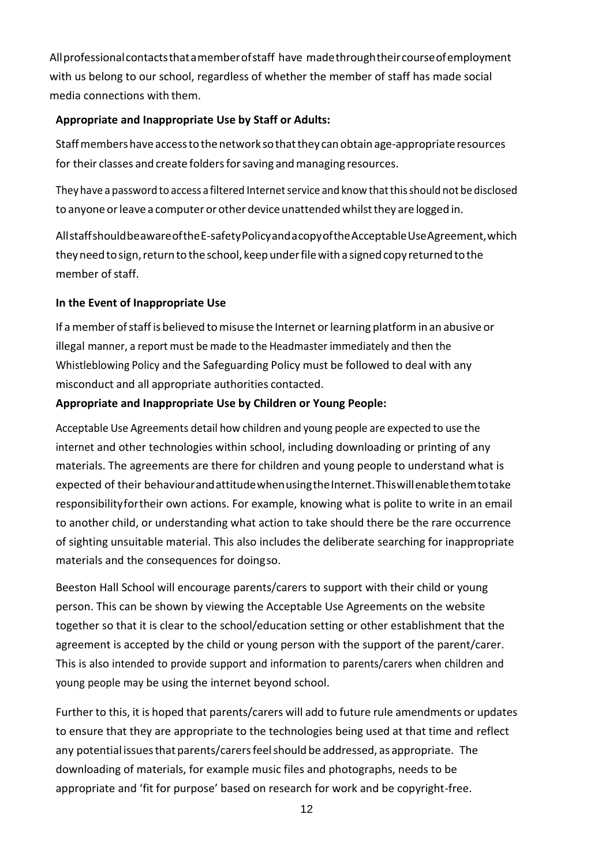Allprofessionalcontactsthatamemberofstaff have madethroughtheircourseofemployment with us belong to our school, regardless of whether the member of staff has made social media connections with them.

#### **Appropriate and Inappropriate Use by Staff or Adults:**

Staff members have access to the network so that they can obtain age-appropriate resources for their classes and create folders for saving and managing resources.

They have a password to access a filtered Internet service and know that this should not be disclosed to anyone or leave a computer or other device unattended whilst they are logged in.

AllstaffshouldbeawareoftheE-safetyPolicyandacopyoftheAcceptableUseAgreement,which they need to sign, return to the school, keep under file with a signed copy returned to the member of staff.

# **In the Event of Inappropriate Use**

If a member of staff is believed to misuse the Internet or learning platform in an abusive or illegal manner, a report must be made to the Headmaster immediately and then the Whistleblowing Policy and the Safeguarding Policy must be followed to deal with any misconduct and all appropriate authorities contacted.

#### **Appropriate and Inappropriate Use by Children or Young People:**

Acceptable Use Agreements detail how children and young people are expected to use the internet and other technologies within school, including downloading or printing of any materials. The agreements are there for children and young people to understand what is expected of their behaviour and attitude when using the Internet. This will enable them to take responsibilityfortheir own actions. For example, knowing what is polite to write in an email to another child, or understanding what action to take should there be the rare occurrence of sighting unsuitable material. This also includes the deliberate searching for inappropriate materials and the consequences for doingso.

Beeston Hall School will encourage parents/carers to support with their child or young person. This can be shown by viewing the Acceptable Use Agreements on the website together so that it is clear to the school/education setting or other establishment that the agreement is accepted by the child or young person with the support of the parent/carer. This is also intended to provide support and information to parents/carers when children and young people may be using the internet beyond school.

Further to this, it is hoped that parents/carers will add to future rule amendments or updates to ensure that they are appropriate to the technologies being used at that time and reflect any potential issues that parents/carers feel should be addressed, as appropriate. The downloading of materials, for example music files and photographs, needs to be appropriate and 'fit for purpose' based on research for work and be copyright-free.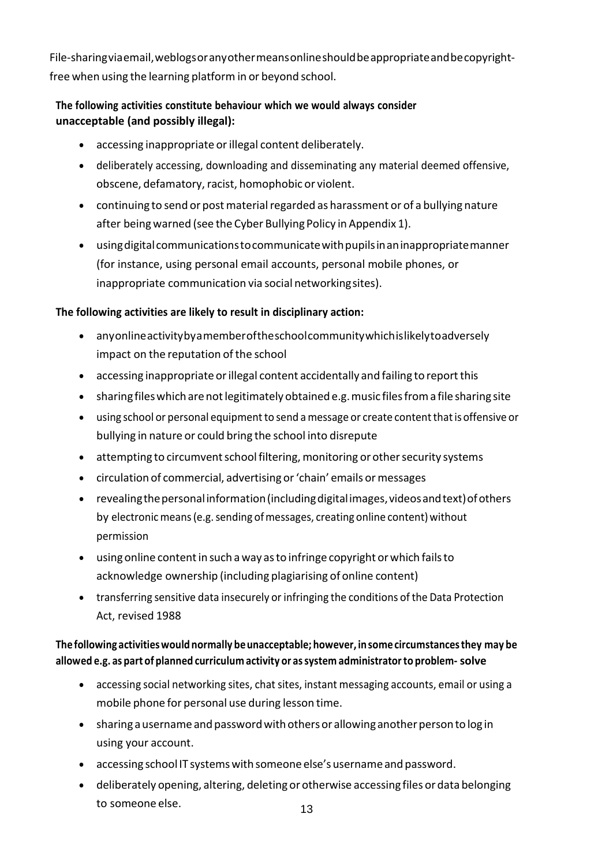File-sharingviaemail,weblogsoranyothermeansonlineshouldbeappropriateandbecopyrightfree when using the learning platform in or beyond school.

# **The following activities constitute behaviour which we would always consider unacceptable (and possibly illegal):**

- accessing inappropriate or illegal content deliberately.
- deliberately accessing, downloading and disseminating any material deemed offensive, obscene, defamatory, racist, homophobic or violent.
- continuing to send or post material regarded as harassment or of a bullying nature after beingwarned (see the Cyber Bullying Policy in Appendix 1).
- usingdigitalcommunicationstocommunicatewithpupilsinaninappropriatemanner (for instance, using personal email accounts, personal mobile phones, or inappropriate communication via social networkingsites).

#### **The following activities are likely to result in disciplinary action:**

- anyonlineactivitybyamemberoftheschoolcommunitywhichislikelytoadversely impact on the reputation of the school
- accessing inappropriate or illegal content accidentally and failing to report this
- sharing files which are not legitimately obtained e.g. music files from a file sharing site
- using school or personal equipment to send a message or create content that is offensive or bullying in nature or could bring the school into disrepute
- attempting to circumvent school filtering, monitoring or other security systems
- circulation of commercial, advertising or 'chain' emails or messages
- revealingthepersonalinformation(includingdigitalimages,videosandtext)ofothers by electronic means (e.g. sending of messages, creating online content) without permission
- using online content in such a way as to infringe copyright or which fails to acknowledge ownership (including plagiarising of online content)
- transferring sensitive data insecurely or infringing the conditions of the Data Protection Act, revised 1988

#### **The following activitieswouldnormally beunacceptable; however, insome circumstancesthey may be allowed e.g. as part of planned curriculum activity or assystem administratorto problem- solve**

- accessing social networking sites, chat sites, instant messaging accounts, email or using a mobile phone for personal use during lesson time.
- $\bullet$  sharing a username and password with others or allowing another person to log in using your account.
- accessing school IT systems with someone else's username and password.
- deliberately opening, altering, deleting or otherwise accessing files or data belonging to someone else.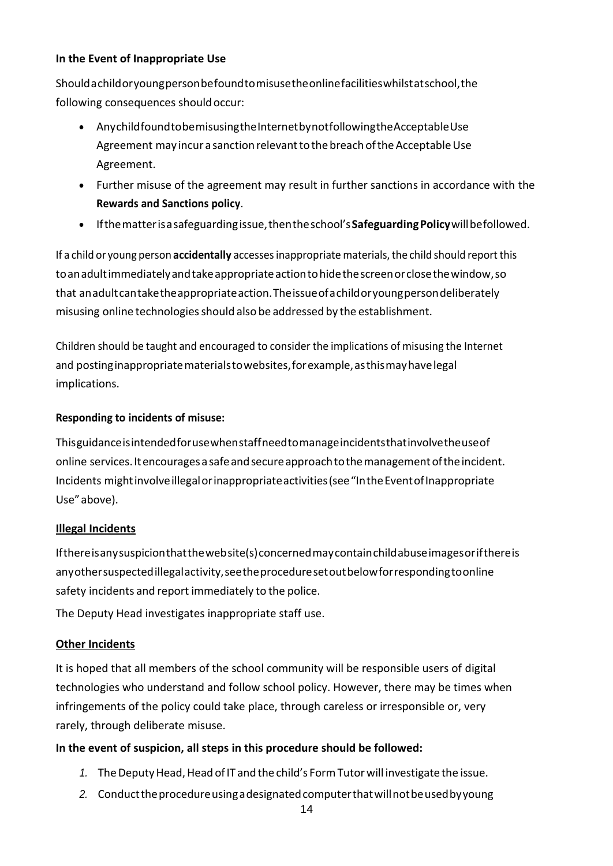#### **In the Event of Inappropriate Use**

Shouldachildoryoungpersonbefoundtomisusetheonlinefacilitieswhilstatschool,the following consequences should occur:

- AnychildfoundtobemisusingtheInternetbynotfollowingtheAcceptableUse Agreement may incur a sanction relevant to the breach of the Acceptable Use Agreement.
- Further misuse of the agreement may result in further sanctions in accordance with the **Rewards and Sanctions policy**.
- Ifthematterisasafeguardingissue,thentheschool's**SafeguardingPolicy**willbefollowed.

If a child or young person **accidentally** accessesinappropriate materials,the child should report this toanadultimmediatelyandtakeappropriateactiontohidethescreenorclosethewindow,so that anadultcantaketheappropriateaction.Theissueofachildoryoungpersondeliberately misusing online technologiesshould also be addressed by the establishment.

Children should be taught and encouraged to consider the implications of misusing the Internet and postinginappropriatematerialstowebsites,forexample,asthismayhavelegal implications.

#### **Responding to incidents of misuse:**

Thisguidanceisintendedforusewhenstaffneedtomanageincidentsthatinvolvetheuseof online services. It encourages a safe and secure approach to the management of the incident. Incidents mightinvolveillegalorinappropriateactivities(see"IntheEventofInappropriate Use"above).

#### **Illegal Incidents**

Ifthereisanysuspicionthatthewebsite(s)concernedmaycontainchildabuseimagesorifthereis anyothersuspectedillegalactivity,seetheproceduresetoutbelowforrespondingtoonline safety incidents and report immediately to the police.

The Deputy Head investigates inappropriate staff use.

#### **Other Incidents**

It is hoped that all members of the school community will be responsible users of digital technologies who understand and follow school policy. However, there may be times when infringements of the policy could take place, through careless or irresponsible or, very rarely, through deliberate misuse.

#### **In the event of suspicion, all steps in this procedure should be followed:**

- 1. The Deputy Head, Head of IT and the child's Form Tutor will investigate the issue.
- 2. Conduct the procedure using a designated computer that will not be used by young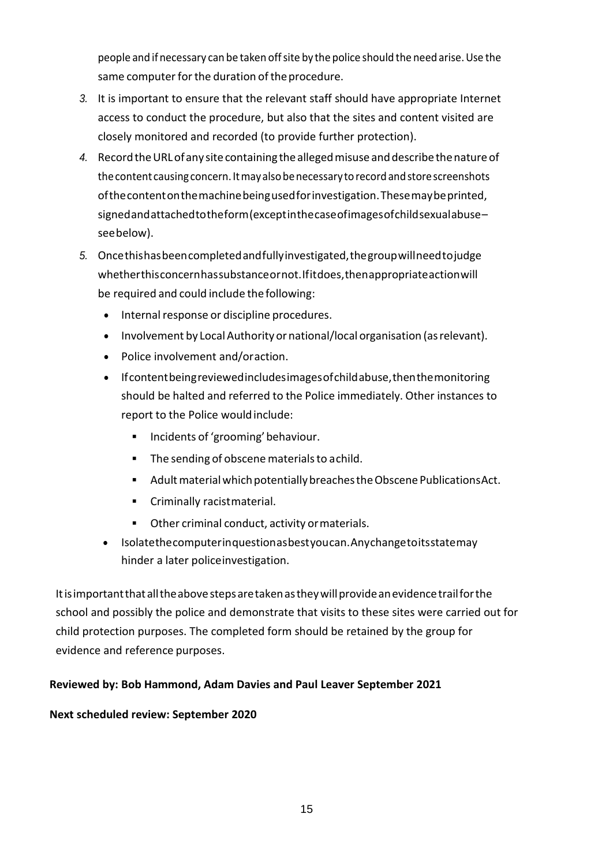people and ifnecessary can be taken offsite by the police should the need arise.Use the same computer for the duration of the procedure.

- *3.* It is important to ensure that the relevant staff should have appropriate Internet access to conduct the procedure, but also that the sites and content visited are closely monitored and recorded (to provide further protection).
- 4. Record the URL of any site containing the alleged misuse and describe the nature of the content causing concern. It may also be necessary to record and store screenshots ofthecontentonthemachinebeingusedforinvestigation.Thesemaybeprinted, signedandattachedtotheform(exceptinthecaseofimagesofchildsexualabuse– seebelow).
- *5.* Oncethishasbeencompletedandfullyinvestigated,thegroupwillneedtojudge whetherthisconcernhassubstanceornot.Ifitdoes,thenappropriateactionwill be required and could include thefollowing:
	- Internal response or discipline procedures.
	- Involvement by Local Authority or national/local organisation (as relevant).
	- Police involvement and/oraction.
	- Ifcontentbeingreviewedincludesimagesofchildabuse,thenthemonitoring should be halted and referred to the Police immediately. Other instances to report to the Police wouldinclude:
		- **■** Incidents of 'grooming' behaviour.
		- The sending of obscene materials to achild.
		- Adult material which potentially breaches the Obscene PublicationsAct.
		- Criminally racistmaterial.
		- Other criminal conduct, activity or materials.
	- Isolatethecomputerinquestionasbestyoucan.Anychangetoitsstatemay hinder a later policeinvestigation.

Itisimportantthatalltheabovestepsaretakenastheywillprovideanevidencetrailforthe school and possibly the police and demonstrate that visits to these sites were carried out for child protection purposes. The completed form should be retained by the group for evidence and reference purposes.

#### **Reviewed by: Bob Hammond, Adam Davies and Paul Leaver September 2021**

#### **Next scheduled review: September 2020**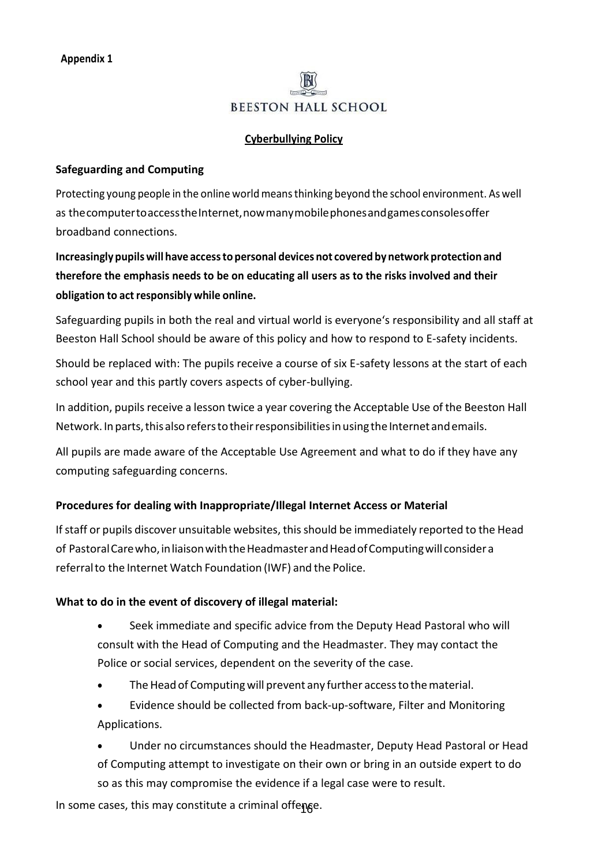# **BEESTON HALL SCHOOL**

#### **Cyberbullying Policy**

#### **Safeguarding and Computing**

Protecting young people in the online world means thinking beyond the school environment. As well as the computer to access the Internet, now many mobile phones and games consoles offer broadband connections.

**Increasingly pupilswill have accessto personal devices not covered bynetwork protection and therefore the emphasis needs to be on educating all users as to the risks involved and their obligation to actresponsibly while online.**

Safeguarding pupils in both the real and virtual world is everyone's responsibility and all staff at Beeston Hall School should be aware of this policy and how to respond to E-safety incidents.

Should be replaced with: The pupils receive a course of six E-safety lessons at the start of each school year and this partly covers aspects of cyber-bullying.

In addition, pupils receive a lesson twice a year covering the Acceptable Use of the Beeston Hall Network. In parts, this also refers to their responsibilities in using the Internet and emails.

All pupils are made aware of the Acceptable Use Agreement and what to do if they have any computing safeguarding concerns.

#### **Procedures for dealing with Inappropriate/Illegal Internet Access or Material**

If staff or pupils discover unsuitable websites, this should be immediately reported to the Head of PastoralCarewho,inliaisonwiththeHeadmasterandHeadofComputingwillconsidera referralto the Internet Watch Foundation (IWF) and the Police.

#### **What to do in the event of discovery of illegal material:**

- Seek immediate and specific advice from the Deputy Head Pastoral who will consult with the Head of Computing and the Headmaster. They may contact the Police or social services, dependent on the severity of the case.
- The Head of Computing will prevent any further access to the material.
- Evidence should be collected from back-up-software, Filter and Monitoring Applications.

• Under no circumstances should the Headmaster, Deputy Head Pastoral or Head of Computing attempt to investigate on their own or bring in an outside expert to do so as this may compromise the evidence if a legal case were to result.

In some cases, this may constitute a criminal offenge.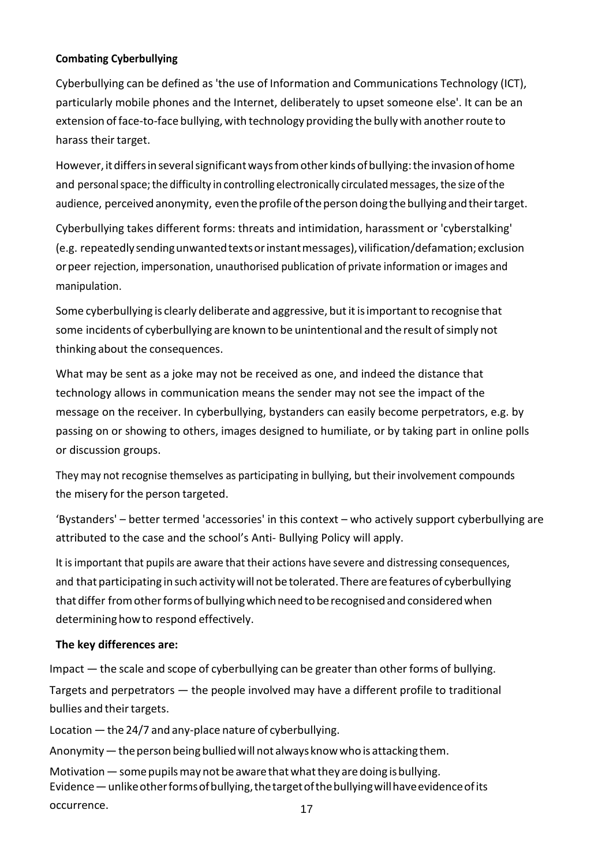#### **Combating Cyberbullying**

Cyberbullying can be defined as 'the use of Information and Communications Technology (ICT), particularly mobile phones and the Internet, deliberately to upset someone else'. It can be an extension of face-to-face bullying, with technology providing the bully with another route to harass their target.

However, it differs in several significant ways from other kinds of bullying: the invasion of home and personal space; the difficulty in controlling electronically circulated messages, the size of the audience, perceived anonymity, even the profile of the person doing the bullying and their target.

Cyberbullying takes different forms: threats and intimidation, harassment or 'cyberstalking' (e.g. repeatedlysendingunwantedtextsorinstantmessages),vilification/defamation;exclusion orpeer rejection, impersonation, unauthorised publication of private information or images and manipulation.

Some cyberbullying is clearly deliberate and aggressive, but it is important to recognise that some incidents of cyberbullying are known to be unintentional and the result of simply not thinking about the consequences.

What may be sent as a joke may not be received as one, and indeed the distance that technology allows in communication means the sender may not see the impact of the message on the receiver. In cyberbullying, bystanders can easily become perpetrators, e.g. by passing on or showing to others, images designed to humiliate, or by taking part in online polls or discussion groups.

They may not recognise themselves as participating in bullying, but their involvement compounds the misery for the person targeted.

'Bystanders' – better termed 'accessories' in this context – who actively support cyberbullying are attributed to the case and the school's Anti- Bullying Policy will apply.

It isimportant that pupils are aware that their actions have severe and distressing consequences, and that participating in such activitywillnot be tolerated. There are features of cyberbullying that differ from other forms of bullying which need to be recognised and considered when determining how to respond effectively.

#### **The key differences are:**

Impact — the scale and scope of cyberbullying can be greater than other forms of bullying. Targets and perpetrators — the people involved may have a different profile to traditional bullies and their targets.

Location  $-$  the 24/7 and any-place nature of cyberbullying.

Anonymity — the person being bullied will not always know who is attacking them.

Motivation  $-$  some pupils may not be aware that what they are doing is bullying. Evidence—unlikeotherformsofbullying,thetargetofthebullyingwillhaveevidenceofits occurrence.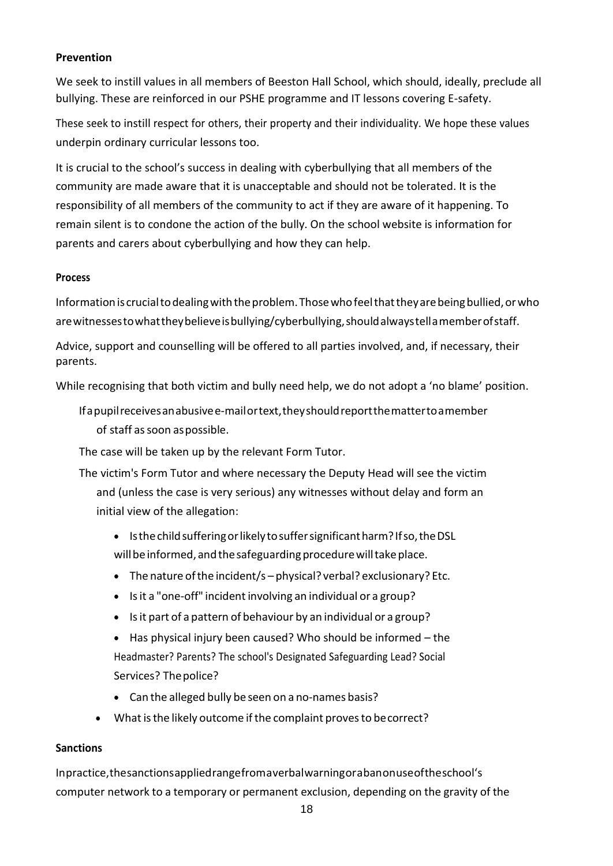#### **Prevention**

We seek to instill values in all members of Beeston Hall School, which should, ideally, preclude all bullying. These are reinforced in our PSHE programme and IT lessons covering E-safety.

These seek to instill respect for others, their property and their individuality. We hope these values underpin ordinary curricular lessons too.

It is crucial to the school's success in dealing with cyberbullying that all members of the community are made aware that it is unacceptable and should not be tolerated. It is the responsibility of all members of the community to act if they are aware of it happening. To remain silent is to condone the action of the bully. On the school website is information for parents and carers about cyberbullying and how they can help.

#### **Process**

Information is crucial to dealing with the problem. Those who feel that they are being bullied, or who arewitnessestowhattheybelieveisbullying/cyberbullying,shouldalwaystellamemberofstaff.

Advice, support and counselling will be offered to all parties involved, and, if necessary, their parents.

While recognising that both victim and bully need help, we do not adopt a 'no blame' position.

Ifapupilreceivesanabusivee-mailortext,theyshouldreportthemattertoamember of staff assoon aspossible.

The case will be taken up by the relevant Form Tutor.

- The victim's Form Tutor and where necessary the Deputy Head will see the victim and (unless the case is very serious) any witnesses without delay and form an initial view of the allegation:
	- Isthechildsufferingorlikelytosuffersignificantharm?Ifso,theDSL will be informed, and the safeguarding procedure will take place.
	- The nature of the incident/s physical? verbal? exclusionary? Etc.
	- Isit a "one-off" incident involving an individual or a group?
	- Isit part of a pattern of behaviour by an individual or a group?
	- Has physical injury been caused? Who should be informed the Headmaster? Parents? The school's Designated Safeguarding Lead? Social Services? Thepolice?
	- Can the alleged bully be seen on a no-names basis?
	- What is the likely outcome if the complaint proves to be correct?

#### **Sanctions**

Inpractice,thesanctionsappliedrangefromaverbalwarningorabanonuseoftheschool's computer network to a temporary or permanent exclusion, depending on the gravity of the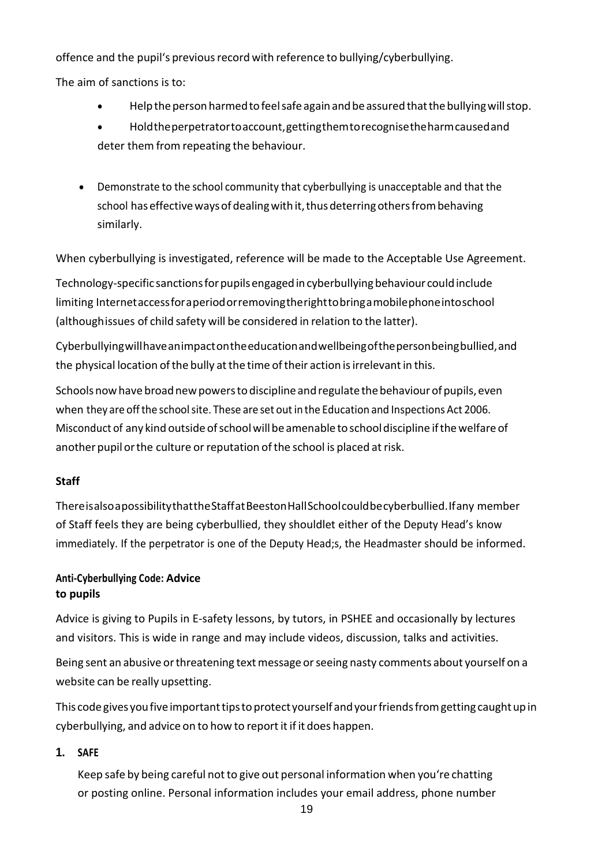offence and the pupil's previousrecord with reference to bullying/cyberbullying.

The aim of sanctions is to:

- Helpthepersonharmedtofeelsafeagainandbeassuredthatthebullyingwillstop.
- Holdtheperpetratortoaccount,gettingthemtorecognisetheharmcausedand deter them from repeating the behaviour.
- Demonstrate to the school community that cyberbullying is unacceptable and that the school has effective ways of dealing with it, thus deterring others from behaving similarly.

When cyberbullying is investigated, reference will be made to the Acceptable Use Agreement.

Technology-specific sanctions for pupils engaged in cyberbullying behaviour could include limiting Internetaccessforaperiodorremovingtherighttobringamobilephoneintoschool (althoughissues of child safety will be considered in relation to the latter).

Cyberbullyingwillhaveanimpactontheeducationandwellbeingofthepersonbeingbullied,and the physical location of the bully at the time of their action is irrelevant in this.

Schools now have broad new powers to discipline and regulate the behaviour of pupils, even when they are offthe schoolsite. These are set outin the Education and Inspections Act 2006. Misconduct of any kind outsideofschoolwillbe amenable to schooldiscipline ifthewelfare of another pupil or the culture or reputation of the school is placed at risk.

# **Staff**

ThereisalsoapossibilitythattheStaffatBeestonHallSchoolcouldbecyberbullied.Ifany member of Staff feels they are being cyberbullied, they shouldlet either of the Deputy Head's know immediately. If the perpetrator is one of the Deputy Head;s, the Headmaster should be informed.

# **Anti-Cyberbullying Code: Advice to pupils**

Advice is giving to Pupils in E-safety lessons, by tutors, in PSHEE and occasionally by lectures and visitors. This is wide in range and may include videos, discussion, talks and activities.

Being sent an abusive or threatening text message or seeing nasty comments about yourself on a website can be really upsetting.

This code gives you five important tips to protect yourself and your friends from getting caught up in cyberbullying, and advice on to how to report it if it does happen.

# **1. SAFE**

Keep safe by being careful not to give out personal information when you're chatting or posting online. Personal information includes your email address, phone number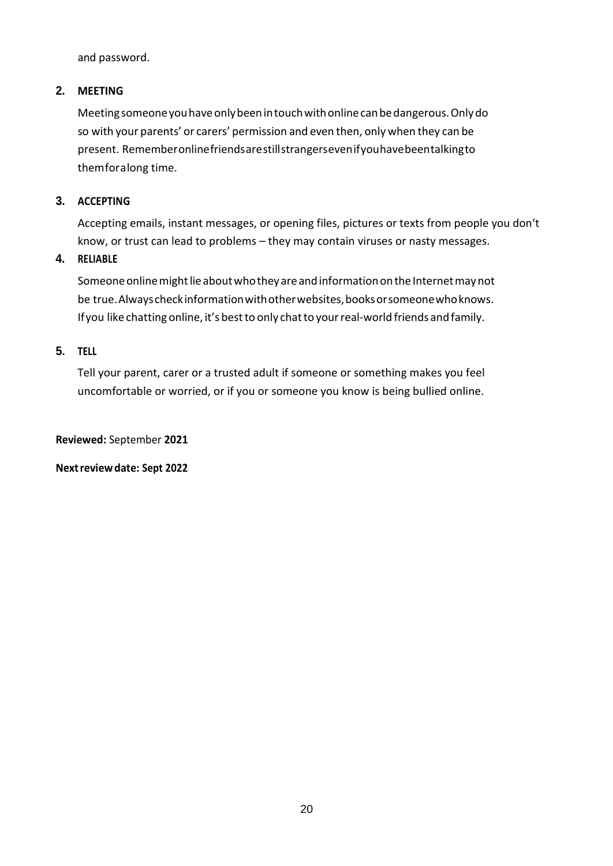and password.

#### **2. MEETING**

Meetingsomeoneyouhaveonlybeenintouchwithonlinecanbedangerous.Onlydo so with your parents' or carers' permission and even then, only when they can be present. Rememberonlinefriendsarestillstrangersevenifyouhavebeentalkingto themforalong time.

#### **3. ACCEPTING**

Accepting emails, instant messages, or opening files, pictures or texts from people you don't know, or trust can lead to problems – they may contain viruses or nasty messages.

#### **4. RELIABLE**

Someone online might lie about who they are and information on the Internet may not be true. Always check information with other websites, books or someone who knows. If you like chatting online, it's best to only chat to your real-world friends and family.

#### **5. TELL**

Tell your parent, carer or a trusted adult if someone or something makes you feel uncomfortable or worried, or if you or someone you know is being bullied online.

**Reviewed:** September **2021**

**Nextreviewdate: Sept 2022**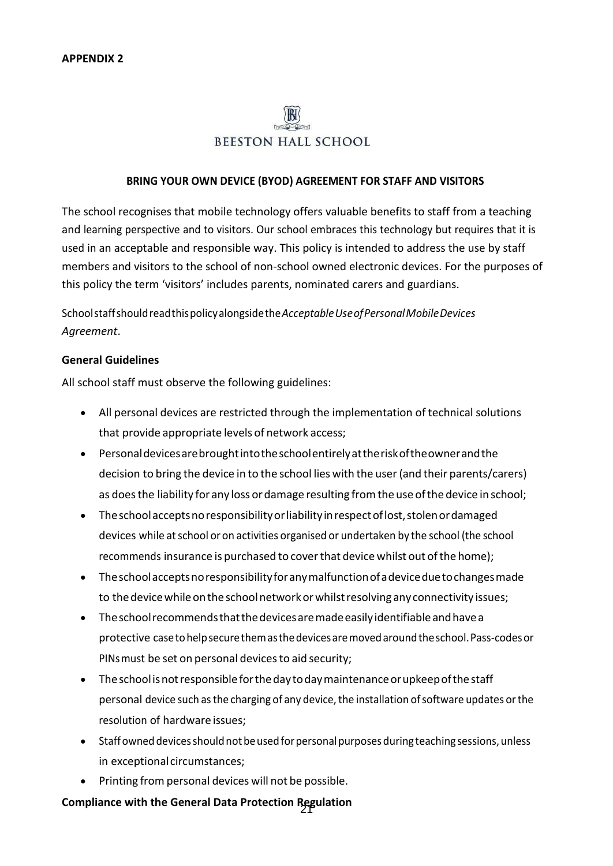# **BEESTON HALL SCHOOL**

#### **BRING YOUR OWN DEVICE (BYOD) AGREEMENT FOR STAFF AND VISITORS**

The school recognises that mobile technology offers valuable benefits to staff from a teaching and learning perspective and to visitors. Our school embraces this technology but requires that it is used in an acceptable and responsible way. This policy is intended to address the use by staff members and visitors to the school of non-school owned electronic devices. For the purposes of this policy the term 'visitors' includes parents, nominated carers and guardians.

Schoolstaffshouldreadthispolicyalongsidethe*AcceptableUseofPersonalMobileDevices Agreement*.

#### **General Guidelines**

All school staff must observe the following guidelines:

- All personal devices are restricted through the implementation of technical solutions that provide appropriate levels of network access;
- Personaldevicesarebroughtintotheschoolentirelyattheriskoftheownerandthe decision to bring the device in to the school lies with the user(and their parents/carers) as does the liability for any loss or damage resulting from the use of the device in school;
- The school accepts no responsibility or liability in respect of lost, stolen or damaged devices while at school or on activities organised or undertaken by the school (the school recommends insurance is purchased to cover that device whilst out of the home);
- Theschoolacceptsnoresponsibilityforanymalfunctionofadeviceduetochangesmade to the device while on the school network or whilst resolving any connectivity issues;
- Theschoolrecommendsthatthedevicesaremadeeasilyidentifiableandhavea protective casetohelpsecurethemasthedevicesaremovedaroundtheschool.Pass-codesor PINs must be set on personal devices to aid security;
- Theschoolisnotresponsibleforthedaytodaymaintenanceorupkeepofthestaff personal device such as the charging of any device, the installation of software updates or the resolution of hardware issues;
- Staffowned devices should not be used for personal purposes during teaching sessions, unless in exceptional circumstances;
- Printing from personal devices will not be possible.

# 21 **Compliance with the General Data Protection Regulation**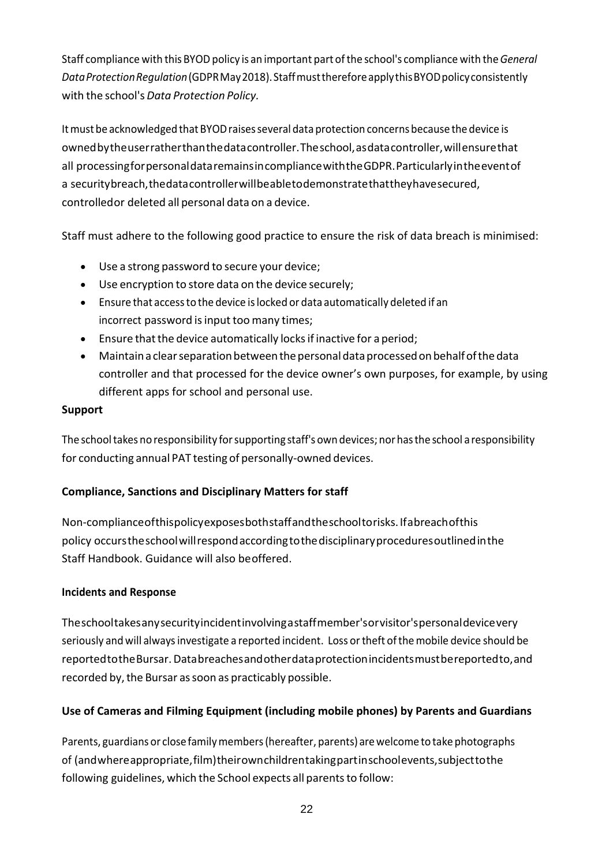Staff compliance with thisBYODpolicy is an important part ofthe school's compliance with the*General DataProtectionRegulation*(GDPRMay2018).StaffmustthereforeapplythisBYODpolicyconsistently with the school's *Data Protection Policy.*

It must be acknowledged that BYOD raises several data protection concerns because the device is ownedbytheuserratherthanthedatacontroller.Theschool,asdatacontroller,willensurethat all processingforpersonaldataremainsincompliancewiththeGDPR.Particularlyintheeventof a securitybreach,thedatacontrollerwillbeabletodemonstratethattheyhavesecured, controlledor deleted all personal data on a device.

Staff must adhere to the following good practice to ensure the risk of data breach is minimised:

- Use a strong password to secure your device;
- Use encryption to store data on the device securely;
- Ensure that accessto the device islocked or data automatically deleted if an incorrect password is input too many times;
- $\bullet$  Ensure that the device automatically locks if inactive for a period;
- Maintain a clear separation between the personal data processed on behalf of the data controller and that processed for the device owner's own purposes, for example, by using different apps for school and personal use.

#### **Support**

The school takes no responsibility for supporting staff's own devices; nor has the school a responsibility for conducting annual PAT testing of personally-owned devices.

# **Compliance, Sanctions and Disciplinary Matters for staff**

Non-complianceofthispolicyexposesbothstaffandtheschooltorisks.Ifabreachofthis policy occurstheschoolwillrespondaccordingtothedisciplinaryproceduresoutlinedinthe Staff Handbook. Guidance will also beoffered.

# **Incidents and Response**

Theschooltakesanysecurityincidentinvolvingastaffmember'sorvisitor'spersonaldevicevery seriously and will alwaysinvestigate a reported incident. Loss ortheft ofthemobile device should be reportedtotheBursar.Databreachesandotherdataprotectionincidentsmustbereportedto,and recorded by, the Bursar as soon as practicably possible.

# **Use of Cameras and Filming Equipment (including mobile phones) by Parents and Guardians**

Parents, guardians or close familymembers(hereafter, parents) arewelcome totake photographs of (andwhereappropriate,film)theirownchildrentakingpartinschoolevents,subjecttothe following guidelines, which the School expects all parents to follow: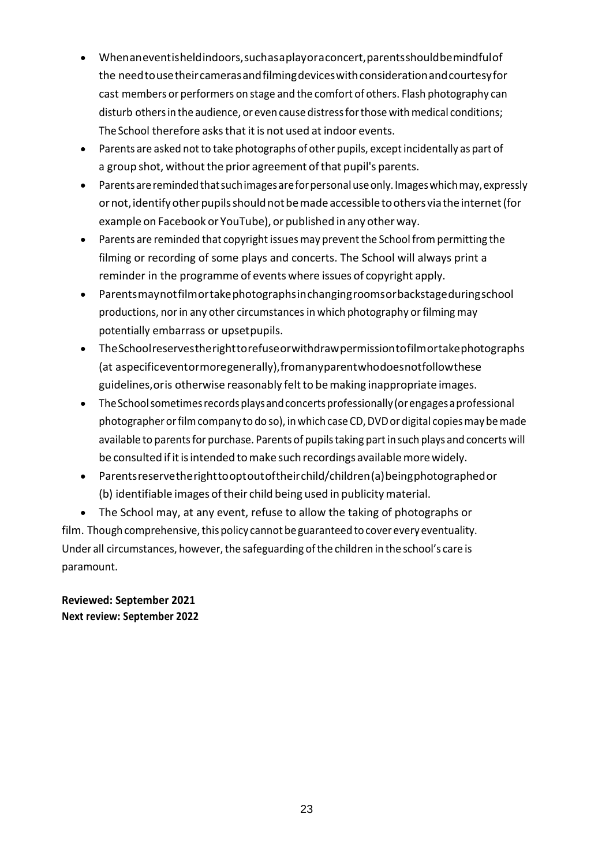- Whenaneventisheldindoors,suchasaplayoraconcert,parentsshouldbemindfulof the needtousetheircamerasandfilmingdeviceswithconsiderationandcourtesyfor cast members or performers on stage and the comfort of others. Flash photography can disturb othersin the audience, or even cause distressforthosewithmedical conditions; The School therefore asks that it is not used at indoor events.
- Parents are asked not to take photographs of other pupils, except incidentally as part of a group shot, without the prior agreement of that pupil's parents.
- Parentsareremindedthatsuchimagesareforpersonaluseonly.Imageswhichmay,expressly or not, identify other pupils should not be made accessible to others via the internet (for example on Facebook or YouTube), or published in any other way.
- Parents are reminded that copyright issuesmay prevent the School from permitting the filming or recording of some plays and concerts. The School will always print a reminder in the programme of events where issues of copyright apply.
- Parentsmaynotfilmortakephotographsinchangingroomsorbackstageduringschool productions, nor in any other circumstances in which photography or filming may potentially embarrass or upsetpupils.
- TheSchoolreservestherighttorefuseorwithdrawpermissiontofilmortakephotographs (at aspecificeventormoregenerally),fromanyparentwhodoesnotfollowthese guidelines, or is otherwise reasonably felt to be making inappropriate images.
- The School sometimes records plays and concerts professionally (or engages a professional photographer or film company to do so), in which case CD, DVD or digital copies may be made available to parents for purchase. Parents of pupils taking part in such plays and concerts will be consulted if it is intended to make such recordings available more widely.
- Parentsreservetherighttooptoutoftheirchild/children(a)beingphotographedor (b) identifiable images of their child being used in publicity material.
- The School may, at any event, refuse to allow the taking of photographs or film. Though comprehensive, this policy cannot be guaranteed to cover every eventuality. Under all circumstances, however, the safeguarding of the children in the school's care is paramount.

**Reviewed: September 2021 Next review: September 2022**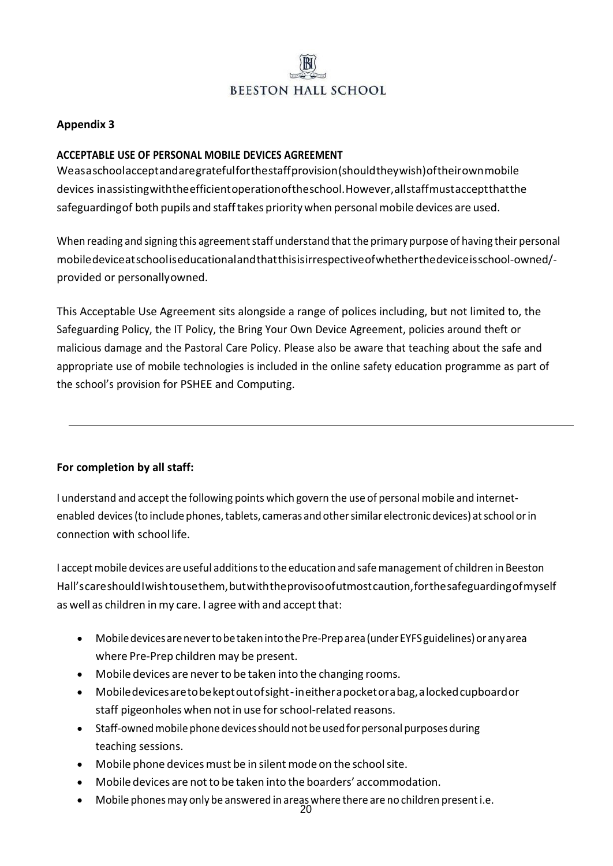

#### **Appendix 3**

#### **ACCEPTABLE USE OF PERSONAL MOBILE DEVICES AGREEMENT**

Weasaschoolacceptandaregratefulforthestaffprovision(shouldtheywish)oftheirownmobile devices inassistingwiththeefficientoperationoftheschool.However,allstaffmustacceptthatthe safeguardingof both pupils and stafftakes prioritywhen personalmobile devices are used.

When reading and signing this agreement staff understand that the primary purpose of having their personal mobiledeviceatschooliseducationalandthatthisisirrespectiveofwhetherthedeviceisschool-owned/ provided or personallyowned.

This Acceptable Use Agreement sits alongside a range of polices including, but not limited to, the Safeguarding Policy, the IT Policy, the Bring Your Own Device Agreement, policies around theft or malicious damage and the Pastoral Care Policy. Please also be aware that teaching about the safe and appropriate use of mobile technologies is included in the online safety education programme as part of the school's provision for PSHEE and Computing.

#### **For completion by all staff:**

I understand and accept the following points which govern the use of personalmobile and internetenabled devices(to include phones,tablets, cameras and othersimilar electronic devices) atschool orin connection with schoollife.

I acceptmobile devices are useful additionsto the education and safemanagement of children in Beeston Hall'scareshouldIwishtousethem,butwiththeprovisoofutmostcaution,forthesafeguardingofmyself as well as children in my care. I agree with and accept that:

- Mobile devices are never to be taken into the Pre-Preparea (under EYFS guidelines) or any area where Pre-Prep children may be present.
- Mobile devices are never to be taken into the changing rooms.
- Mobiledevicesaretobekeptoutofsight-ineitherapocketorabag,alockedcupboardor staff pigeonholes when not in use for school-related reasons.
- Staff-owned mobile phone devices should not be used for personal purposes during teaching sessions.
- Mobile phone devices must be in silent mode on the school site.
- Mobile devices are not to be taken into the boarders' accommodation.
- Mobile phones may only be answered in areas where there are no children present i.e.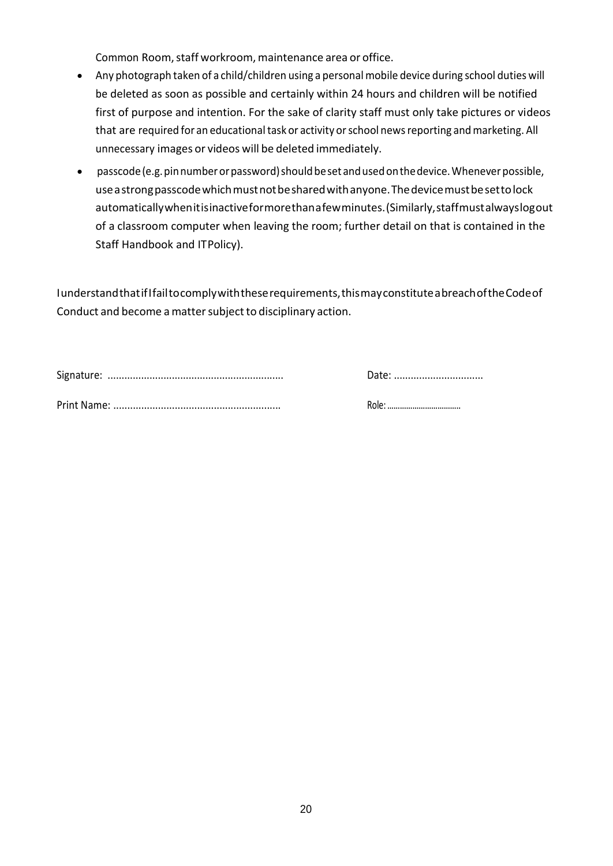Common Room, staff workroom, maintenance area or office.

- Any photograph taken of a child/children using a personalmobile device during school duties will be deleted as soon as possible and certainly within 24 hours and children will be notified first of purpose and intention. For the sake of clarity staff must only take pictures or videos that are required for an educational task or activity or school news reporting and marketing. All unnecessary images or videos will be deleted immediately.
- passcode (e.g. pin number or password) should be set and used on the device. Whenever possible, use astrong passcode which must not be shared with anyone. The device must be setto lock automaticallywhenitisinactiveformorethanafewminutes.(Similarly,staffmustalwayslogout of a classroom computer when leaving the room; further detail on that is contained in the Staff Handbook and ITPolicy).

IunderstandthatifIfailtocomplywiththeserequirements,thismayconstituteabreachoftheCodeof Conduct and become a matter subject to disciplinary action.

| Date: |
|-------|
| Role: |